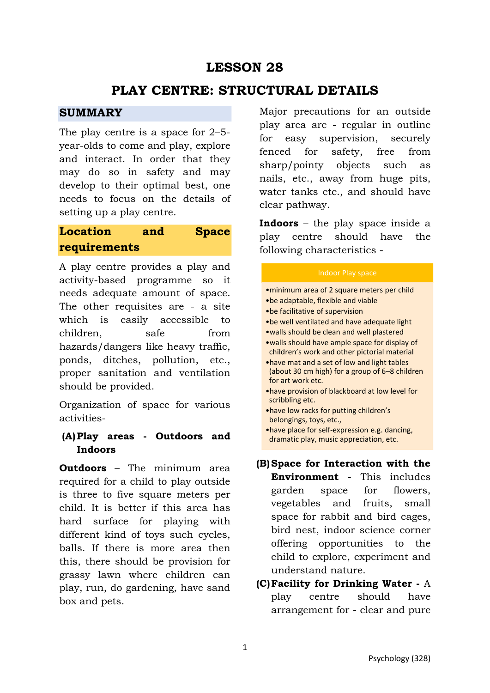# **LESSON 28**

# **PLAY CENTRE: STRUCTURAL DETAILS**

### **SUMMARY**

The play centre is a space for 2–5 year-olds to come and play, explore and interact. In order that they may do so in safety and may develop to their optimal best, one needs to focus on the details of setting up a play centre.

# **Location and Space requirements**

A play centre provides a play and activity-based programme so it needs adequate amount of space. The other requisites are - a site which is easily accessible to children, safe from hazards/dangers like heavy traffic, ponds, ditches, pollution, etc., proper sanitation and ventilation should be provided.

Organization of space for various activities-

## **(A)Play areas - Outdoors and Indoors**

**Outdoors** – The minimum area required for a child to play outside is three to five square meters per child. It is better if this area has hard surface for playing with different kind of toys such cycles, balls. If there is more area then this, there should be provision for grassy lawn where children can play, run, do gardening, have sand box and pets.

Major precautions for an outside play area are - regular in outline for easy supervision, securely fenced for safety, free from sharp/pointy objects such as nails, etc., away from huge pits, water tanks etc., and should have clear pathway.

**Indoors** – the play space inside a play centre should have the following characteristics -

- •minimum area of 2 square meters per child •be adaptable, flexible and viable •be facilitative of supervision •be well ventilated and have adequate light •walls should be clean and well plastered •walls should have ample space for display of
- children's work and other pictorial material
- •have mat and a set of low and light tables (about 30 cm high) for a group of 6–8 children for art work etc.
- •have provision of blackboard at low level for scribbling etc.
- •have low racks for putting children's belongings, toys, etc.,
- •have place for self-expression e.g. dancing, dramatic play, music appreciation, etc.
- **(B)Space for Interaction with the Environment -** This includes garden space for flowers, vegetables and fruits, small space for rabbit and bird cages, bird nest, indoor science corner offering opportunities to the child to explore, experiment and understand nature.
- **(C)Facility for Drinking Water** A play centre should have arrangement for - clear and pure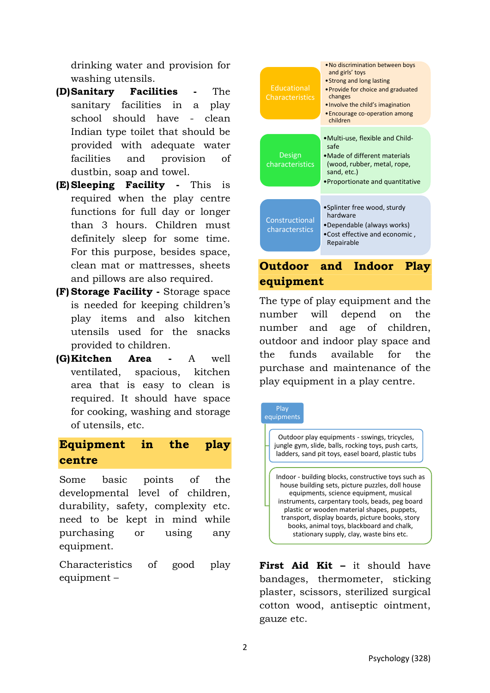drinking water and provision for washing utensils.

- **(D)Sanitary Facilities** The sanitary facilities in a play school should have - clean Indian type toilet that should be provided with adequate water facilities and provision of dustbin, soap and towel.
- **(E)Sleeping Facility** This is required when the play centre functions for full day or longer than 3 hours. Children must definitely sleep for some time. For this purpose, besides space, clean mat or mattresses, sheets and pillows are also required.
- **(F) Storage Facility** Storage space is needed for keeping children's play items and also kitchen utensils used for the snacks provided to children.
- **(G)Kitchen Area** A well ventilated, spacious, kitchen area that is easy to clean is required. It should have space for cooking, washing and storage of utensils, etc.

## **Equipment in the play centre**

Some basic points of the developmental level of children, durability, safety, complexity etc. need to be kept in mind while purchasing or using any equipment.

Characteristics of good play equipment –



# **Outdoor and Indoor Play equipment**

The type of play equipment and the number will depend on the number and age of children, outdoor and indoor play space and the funds available for the purchase and maintenance of the play equipment in a play centre.



**First Aid Kit –** it should have bandages, thermometer, sticking plaster, scissors, sterilized surgical cotton wood, antiseptic ointment, gauze etc.